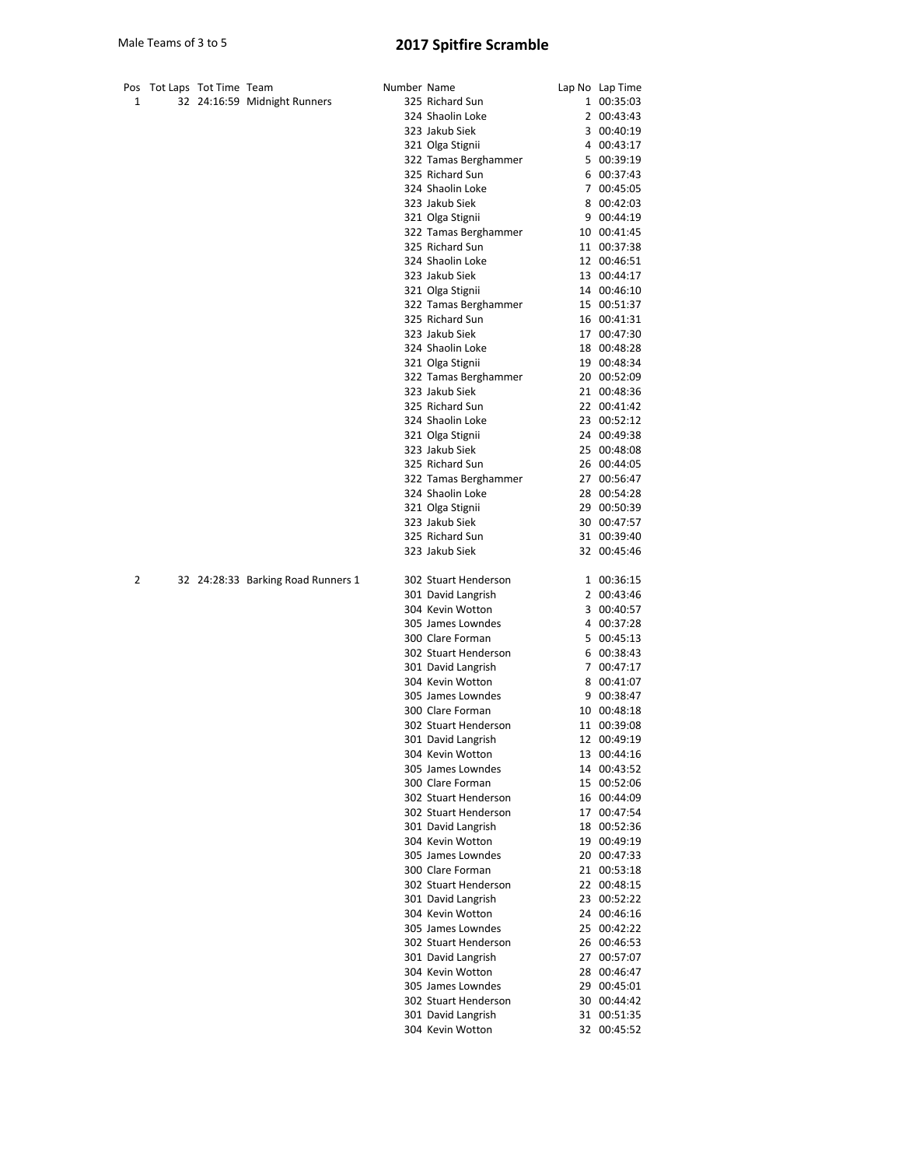|   | Pos Tot Laps Tot Time Team |                                    | Number Name |                                           | Lap No Lap Time            |
|---|----------------------------|------------------------------------|-------------|-------------------------------------------|----------------------------|
| 1 |                            | 32 24:16:59 Midnight Runners       |             | 325 Richard Sun                           | 1 00:35:03                 |
|   |                            |                                    |             | 324 Shaolin Loke                          | 2 00:43:43                 |
|   |                            |                                    |             | 323 Jakub Siek                            | 3 00:40:19                 |
|   |                            |                                    |             | 321 Olga Stignii                          | 4 00:43:17                 |
|   |                            |                                    |             | 322 Tamas Berghammer                      | 5 00:39:19                 |
|   |                            |                                    |             | 325 Richard Sun                           | 6 00:37:43                 |
|   |                            |                                    |             | 324 Shaolin Loke                          | 7 00:45:05                 |
|   |                            |                                    |             | 323 Jakub Siek                            | 8 00:42:03                 |
|   |                            |                                    |             | 321 Olga Stignii                          | 9 00:44:19                 |
|   |                            |                                    |             | 322 Tamas Berghammer                      | 10 00:41:45                |
|   |                            |                                    |             | 325 Richard Sun<br>324 Shaolin Loke       | 11 00:37:38                |
|   |                            |                                    |             | 323 Jakub Siek                            | 12 00:46:51                |
|   |                            |                                    |             | 321 Olga Stignii                          | 13 00:44:17<br>14 00:46:10 |
|   |                            |                                    |             | 322 Tamas Berghammer                      | 15 00:51:37                |
|   |                            |                                    |             | 325 Richard Sun                           | 16 00:41:31                |
|   |                            |                                    |             | 323 Jakub Siek                            | 17 00:47:30                |
|   |                            |                                    |             | 324 Shaolin Loke                          | 18 00:48:28                |
|   |                            |                                    |             | 321 Olga Stignii                          | 19 00:48:34                |
|   |                            |                                    |             | 322 Tamas Berghammer                      | 20 00:52:09                |
|   |                            |                                    |             | 323 Jakub Siek                            | 21 00:48:36                |
|   |                            |                                    |             | 325 Richard Sun                           | 22 00:41:42                |
|   |                            |                                    |             | 324 Shaolin Loke                          | 23 00:52:12                |
|   |                            |                                    |             | 321 Olga Stignii                          | 24 00:49:38                |
|   |                            |                                    |             | 323 Jakub Siek                            | 25 00:48:08                |
|   |                            |                                    |             | 325 Richard Sun                           | 26 00:44:05                |
|   |                            |                                    |             | 322 Tamas Berghammer                      | 27 00:56:47                |
|   |                            |                                    |             | 324 Shaolin Loke                          | 28 00:54:28                |
|   |                            |                                    |             | 321 Olga Stignii                          | 29 00:50:39                |
|   |                            |                                    |             | 323 Jakub Siek<br>325 Richard Sun         | 30 00:47:57<br>31 00:39:40 |
|   |                            |                                    |             | 323 Jakub Siek                            | 32 00:45:46                |
|   |                            |                                    |             |                                           |                            |
| 2 |                            | 32 24:28:33 Barking Road Runners 1 |             | 302 Stuart Henderson                      | 1 00:36:15                 |
|   |                            |                                    |             | 301 David Langrish                        | 2 00:43:46                 |
|   |                            |                                    |             | 304 Kevin Wotton                          | 3 00:40:57                 |
|   |                            |                                    |             | 305 James Lowndes                         | 4 00:37:28                 |
|   |                            |                                    |             | 300 Clare Forman                          | 5 00:45:13                 |
|   |                            |                                    |             | 302 Stuart Henderson                      | 6 00:38:43                 |
|   |                            |                                    |             | 301 David Langrish                        | 7 00:47:17                 |
|   |                            |                                    |             | 304 Kevin Wotton                          | 8 00:41:07                 |
|   |                            |                                    |             | 305 James Lowndes                         | 9 00:38:47                 |
|   |                            |                                    |             | 300 Clare Forman                          | 10 00:48:18                |
|   |                            |                                    |             | 302 Stuart Henderson                      | 11 00:39:08                |
|   |                            |                                    |             | 301 David Langrish<br>304 Kevin Wotton    | 12 00:49:19<br>13 00:44:16 |
|   |                            |                                    |             | 305 James Lowndes                         | 14 00:43:52                |
|   |                            |                                    |             | 300 Clare Forman                          | 15 00:52:06                |
|   |                            |                                    |             | 302 Stuart Henderson                      | 16 00:44:09                |
|   |                            |                                    |             | 302 Stuart Henderson                      | 17 00:47:54                |
|   |                            |                                    |             | 301 David Langrish                        | 18 00:52:36                |
|   |                            |                                    |             | 304 Kevin Wotton                          | 19 00:49:19                |
|   |                            |                                    |             | 305 James Lowndes                         | 20 00:47:33                |
|   |                            |                                    |             | 300 Clare Forman                          | 21 00:53:18                |
|   |                            |                                    |             | 302 Stuart Henderson                      | 22 00:48:15                |
|   |                            |                                    |             | 301 David Langrish                        | 23 00:52:22                |
|   |                            |                                    |             | 304 Kevin Wotton                          | 24 00:46:16                |
|   |                            |                                    |             | 305 James Lowndes                         | 25 00:42:22                |
|   |                            |                                    |             | 302 Stuart Henderson                      | 26 00:46:53                |
|   |                            |                                    |             | 301 David Langrish                        | 27 00:57:07                |
|   |                            |                                    |             | 304 Kevin Wotton                          | 28 00:46:47                |
|   |                            |                                    |             | 305 James Lowndes<br>302 Stuart Henderson | 29 00:45:01                |
|   |                            |                                    |             | 301 David Langrish                        | 30 00:44:42<br>31 00:51:35 |
|   |                            |                                    |             | 304 Kevin Wotton                          | 32 00:45:52                |
|   |                            |                                    |             |                                           |                            |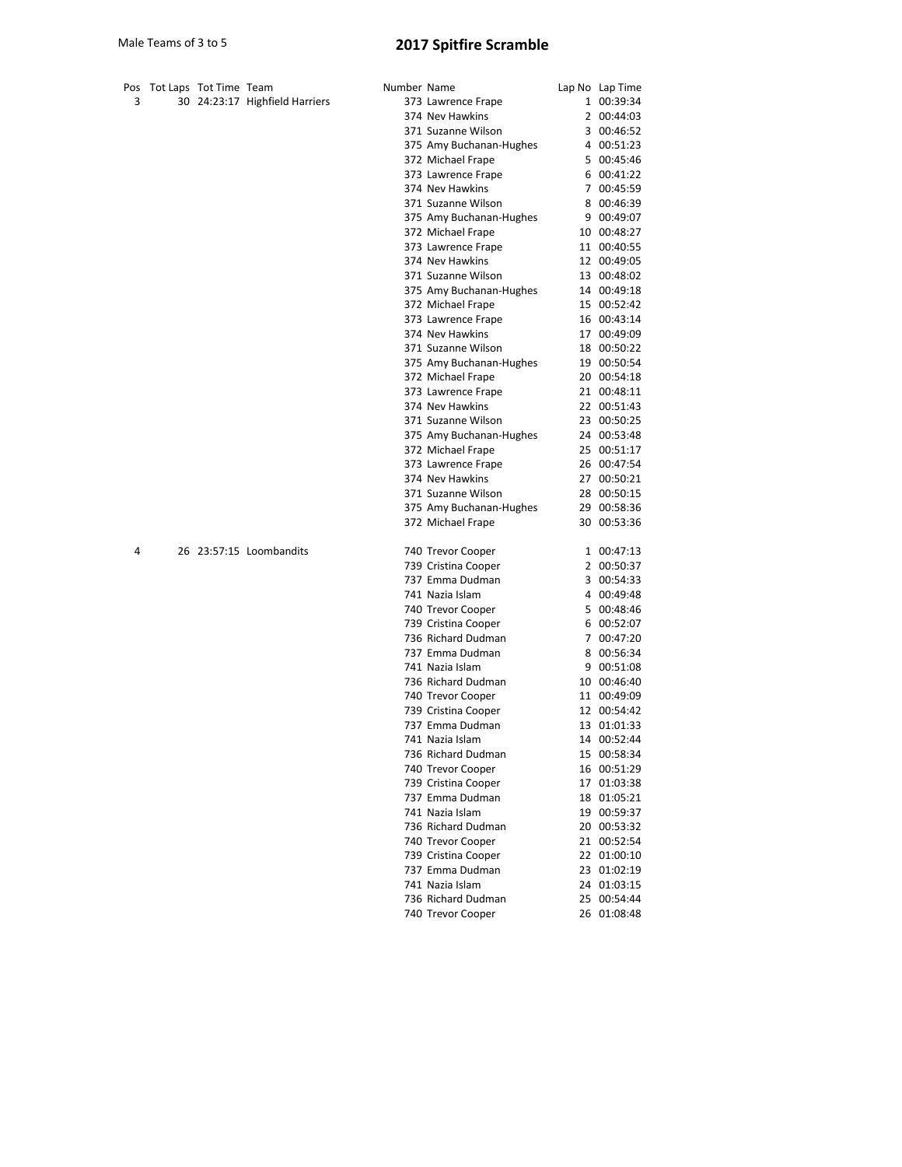|   | Pos Tot Laps Tot Time Team |                                | Number Name |                         | Lap No Lap Time |
|---|----------------------------|--------------------------------|-------------|-------------------------|-----------------|
| 3 |                            | 30 24:23:17 Highfield Harriers |             | 373 Lawrence Frape      | 1 00:39:34      |
|   |                            |                                |             | 374 Nev Hawkins         | 2 00:44:03      |
|   |                            |                                |             | 371 Suzanne Wilson      | 3 00:46:52      |
|   |                            |                                |             | 375 Amy Buchanan-Hughes | 4 00:51:23      |
|   |                            |                                |             | 372 Michael Frape       | 5 00:45:46      |
|   |                            |                                |             | 373 Lawrence Frape      | 6 00:41:22      |
|   |                            |                                |             | 374 Nev Hawkins         | 7 00:45:59      |
|   |                            |                                |             | 371 Suzanne Wilson      | 8 00:46:39      |
|   |                            |                                |             | 375 Amy Buchanan-Hughes | 9 00:49:07      |
|   |                            |                                |             | 372 Michael Frape       | 10 00:48:27     |
|   |                            |                                |             | 373 Lawrence Frape      | 11 00:40:55     |
|   |                            |                                |             | 374 Nev Hawkins         | 12 00:49:05     |
|   |                            |                                |             | 371 Suzanne Wilson      | 13 00:48:02     |
|   |                            |                                |             | 375 Amy Buchanan-Hughes | 14 00:49:18     |
|   |                            |                                |             | 372 Michael Frape       | 15 00:52:42     |
|   |                            |                                |             | 373 Lawrence Frape      | 16 00:43:14     |
|   |                            |                                |             | 374 Nev Hawkins         | 17 00:49:09     |
|   |                            |                                |             | 371 Suzanne Wilson      | 18 00:50:22     |
|   |                            |                                |             | 375 Amy Buchanan-Hughes | 19 00:50:54     |
|   |                            |                                |             | 372 Michael Frape       | 20 00:54:18     |
|   |                            |                                |             | 373 Lawrence Frape      | 21 00:48:11     |
|   |                            |                                |             | 374 Nev Hawkins         | 22 00:51:43     |
|   |                            |                                |             | 371 Suzanne Wilson      | 23 00:50:25     |
|   |                            |                                |             | 375 Amy Buchanan-Hughes | 24 00:53:48     |
|   |                            |                                |             | 372 Michael Frape       | 25 00:51:17     |
|   |                            |                                |             | 373 Lawrence Frape      | 26 00:47:54     |
|   |                            |                                |             | 374 Nev Hawkins         | 27 00:50:21     |
|   |                            |                                |             | 371 Suzanne Wilson      | 28 00:50:15     |
|   |                            |                                |             | 375 Amy Buchanan-Hughes | 29 00:58:36     |
|   |                            |                                |             | 372 Michael Frape       | 30 00:53:36     |
| 4 |                            | 26 23:57:15 Loombandits        |             | 740 Trevor Cooper       | 1 00:47:13      |
|   |                            |                                |             | 739 Cristina Cooper     | 2 00:50:37      |
|   |                            |                                |             | 737 Emma Dudman         | 3 00:54:33      |
|   |                            |                                |             | 741 Nazia Islam         | 4 00:49:48      |
|   |                            |                                |             | 740 Trevor Cooper       | 5 00:48:46      |
|   |                            |                                |             | 739 Cristina Cooper     | 6 00:52:07      |
|   |                            |                                |             | 736 Richard Dudman      | 7 00:47:20      |
|   |                            |                                |             | 737 Emma Dudman         | 8 00:56:34      |
|   |                            |                                |             | 741 Nazia Islam         | 9 00:51:08      |
|   |                            |                                |             | 736 Richard Dudman      | 10 00:46:40     |
|   |                            |                                |             | 740 Trevor Cooper       | 11 00:49:09     |
|   |                            |                                |             | 739 Cristina Cooper     | 12 00:54:42     |
|   |                            |                                |             | 737 Emma Dudman         | 13 01:01:33     |
|   |                            |                                |             | 741 Nazia Islam         | 14 00:52:44     |
|   |                            |                                |             | 736 Richard Dudman      | 15 00:58:34     |
|   |                            |                                |             | 740 Trevor Cooper       | 16 00:51:29     |
|   |                            |                                |             | 739 Cristina Cooper     | 17 01:03:38     |
|   |                            |                                |             | 737 Emma Dudman         | 18 01:05:21     |
|   |                            |                                |             | 741 Nazia Islam         | 19 00:59:37     |
|   |                            |                                |             | 736 Richard Dudman      | 20 00:53:32     |
|   |                            |                                |             | 740 Trevor Cooper       | 21 00:52:54     |
|   |                            |                                |             | 739 Cristina Cooper     | 22 01:00:10     |
|   |                            |                                |             | 737 Emma Dudman         | 23 01:02:19     |
|   |                            |                                |             | 741 Nazia Islam         | 24 01:03:15     |
|   |                            |                                |             | 736 Richard Dudman      | 25 00:54:44     |
|   |                            |                                |             | 740 Trevor Cooper       | 26 01:08:48     |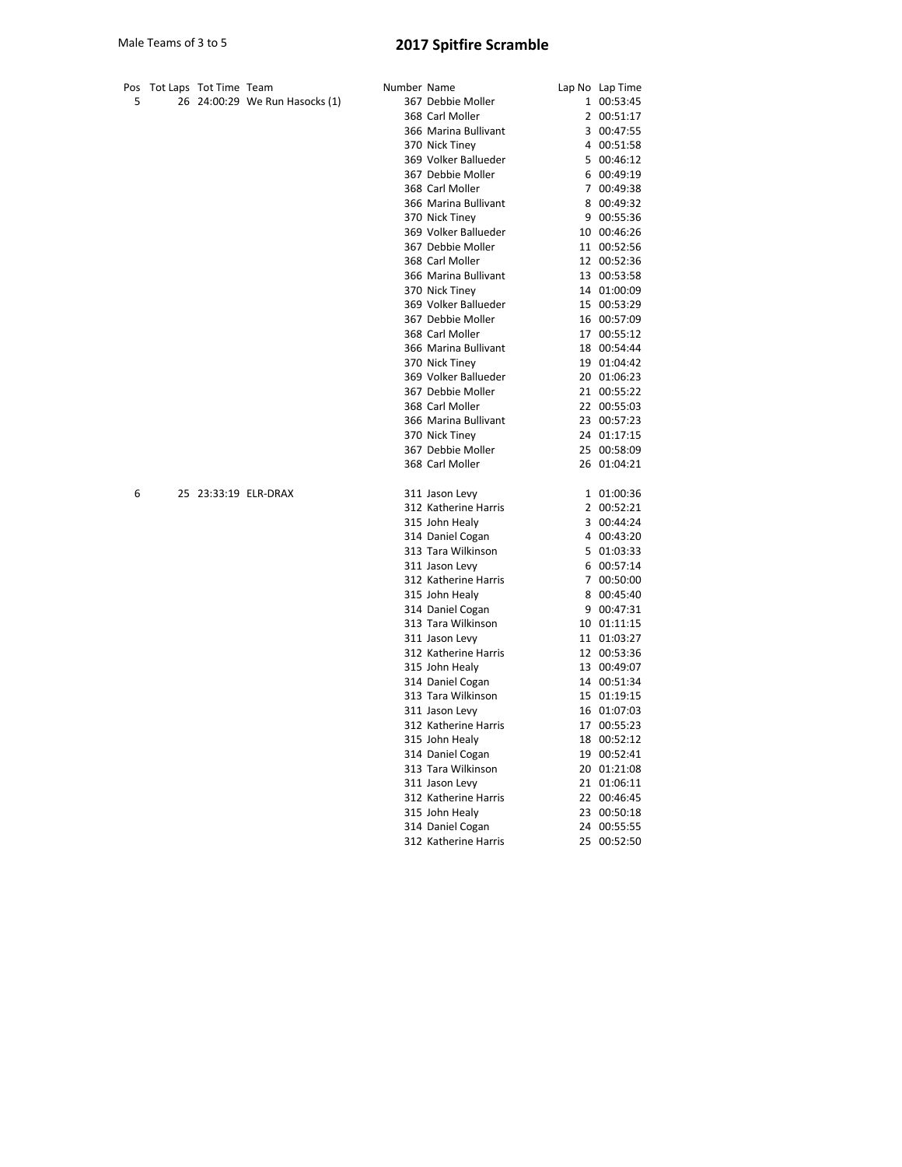| Pos | Tot Laps Tot Time Team |                                | Number Name |                      | Lap No Lap Time |
|-----|------------------------|--------------------------------|-------------|----------------------|-----------------|
| 5   |                        | 26 24:00:29 We Run Hasocks (1) |             | 367 Debbie Moller    | 1 00:53:45      |
|     |                        |                                |             | 368 Carl Moller      | 2 00:51:17      |
|     |                        |                                |             | 366 Marina Bullivant | 3 00:47:55      |
|     |                        |                                |             | 370 Nick Tiney       | 4 00:51:58      |
|     |                        |                                |             | 369 Volker Ballueder | 5 00:46:12      |
|     |                        |                                |             | 367 Debbie Moller    | 6 00:49:19      |
|     |                        |                                |             | 368 Carl Moller      | 7 00:49:38      |
|     |                        |                                |             | 366 Marina Bullivant | 8 00:49:32      |
|     |                        |                                |             | 370 Nick Tiney       | 9 00:55:36      |
|     |                        |                                |             | 369 Volker Ballueder | 10 00:46:26     |
|     |                        |                                |             | 367 Debbie Moller    | 11 00:52:56     |
|     |                        |                                |             | 368 Carl Moller      | 12 00:52:36     |
|     |                        |                                |             | 366 Marina Bullivant | 13 00:53:58     |
|     |                        |                                |             | 370 Nick Tiney       | 14 01:00:09     |
|     |                        |                                |             | 369 Volker Ballueder | 15 00:53:29     |
|     |                        |                                |             | 367 Debbie Moller    | 16 00:57:09     |
|     |                        |                                |             | 368 Carl Moller      | 17 00:55:12     |
|     |                        |                                |             | 366 Marina Bullivant | 18 00:54:44     |
|     |                        |                                |             | 370 Nick Tiney       | 19 01:04:42     |
|     |                        |                                |             | 369 Volker Ballueder | 20 01:06:23     |
|     |                        |                                |             | 367 Debbie Moller    | 21 00:55:22     |
|     |                        |                                |             | 368 Carl Moller      | 22 00:55:03     |
|     |                        |                                |             | 366 Marina Bullivant | 23 00:57:23     |
|     |                        |                                |             | 370 Nick Tiney       | 24 01:17:15     |
|     |                        |                                |             | 367 Debbie Moller    | 25 00:58:09     |
|     |                        |                                |             | 368 Carl Moller      | 26 01:04:21     |
|     |                        |                                |             |                      |                 |
| 6   |                        | 25 23:33:19 ELR-DRAX           |             | 311 Jason Levy       | 1 01:00:36      |
|     |                        |                                |             | 312 Katherine Harris | 2 00:52:21      |
|     |                        |                                |             | 315 John Healy       | 3 00:44:24      |
|     |                        |                                |             | 314 Daniel Cogan     | 4 00:43:20      |
|     |                        |                                |             | 313 Tara Wilkinson   | 5 01:03:33      |
|     |                        |                                |             | 311 Jason Levy       | 6 00:57:14      |
|     |                        |                                |             | 312 Katherine Harris | 7 00:50:00      |
|     |                        |                                |             | 315 John Healy       | 8 00:45:40      |
|     |                        |                                |             | 314 Daniel Cogan     | 9 00:47:31      |
|     |                        |                                |             | 313 Tara Wilkinson   | 10 01:11:15     |
|     |                        |                                |             | 311 Jason Levy       | 11 01:03:27     |
|     |                        |                                |             | 312 Katherine Harris | 12 00:53:36     |
|     |                        |                                |             | 315 John Healy       | 13 00:49:07     |
|     |                        |                                |             | 314 Daniel Cogan     | 14 00:51:34     |
|     |                        |                                |             | 313 Tara Wilkinson   | 15 01:19:15     |
|     |                        |                                |             | 311 Jason Levy       | 16 01:07:03     |
|     |                        |                                |             | 312 Katherine Harris | 17 00:55:23     |
|     |                        |                                |             | 315 John Healy       | 18 00:52:12     |
|     |                        |                                |             | 314 Daniel Cogan     | 19 00:52:41     |
|     |                        |                                |             | 313 Tara Wilkinson   | 20 01:21:08     |
|     |                        |                                |             | 311 Jason Levy       | 21 01:06:11     |
|     |                        |                                |             | 312 Katherine Harris | 22 00:46:45     |
|     |                        |                                |             | 315 John Healy       | 23 00:50:18     |
|     |                        |                                |             | 314 Daniel Cogan     | 24 00:55:55     |
|     |                        |                                |             | 312 Katherine Harris | 25 00:52:50     |
|     |                        |                                |             |                      |                 |
|     |                        |                                |             |                      |                 |